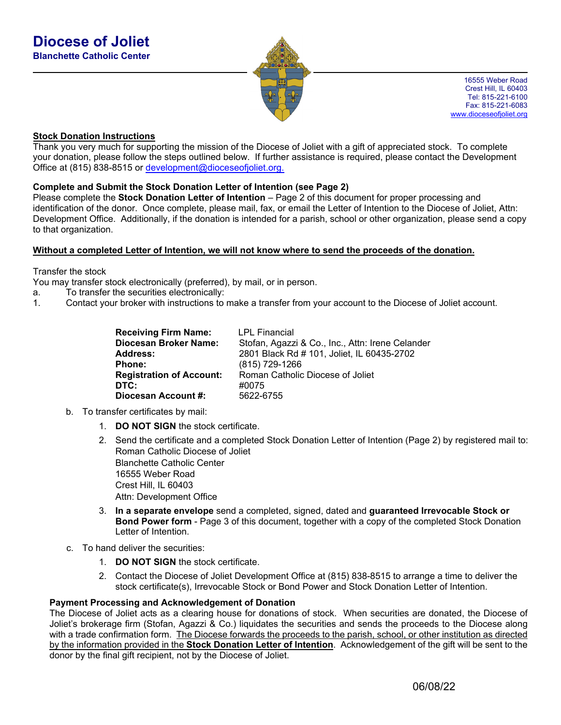

16555 Weber Road Crest Hill, IL 60403 Tel: 815-221-6100 Fax: 815-221-6083 www.dioceseofjoliet.org

## **Stock Donation Instructions**

Thank you very much for supporting the mission of the Diocese of Joliet with a gift of appreciated stock. To complete your donation, please follow the steps outlined below. If further assistance is required, please contact the Development Office at (815) 838-8515 or development@dioceseofjoliet.org.

## **Complete and Submit the Stock Donation Letter of Intention (see Page 2)**

Please complete the **Stock Donation Letter of Intention** – Page 2 of this document for proper processing and identification of the donor. Once complete, please mail, fax, or email the Letter of Intention to the Diocese of Joliet, Attn: Development Office. Additionally, if the donation is intended for a parish, school or other organization, please send a copy to that organization.

### **Without a completed Letter of Intention, we will not know where to send the proceeds of the donation.**

Transfer the stock

You may transfer stock electronically (preferred), by mail, or in person.

- a. To transfer the securities electronically:
- 1. Contact your broker with instructions to make a transfer from your account to the Diocese of Joliet account.

| <b>Receiving Firm Name:</b><br>Diocesan Broker Name: | <b>LPL Financial</b><br>Stofan, Agazzi & Co., Inc., Attn: Irene Celander |
|------------------------------------------------------|--------------------------------------------------------------------------|
|                                                      |                                                                          |
| <b>Address:</b>                                      | 2801 Black Rd # 101, Joliet, IL 60435-2702                               |
| Phone:                                               | (815) 729-1266                                                           |
| <b>Registration of Account:</b>                      | Roman Catholic Diocese of Joliet                                         |
| DTC:                                                 | #0075                                                                    |
| Diocesan Account #:                                  | 5622-6755                                                                |

- b. To transfer certificates by mail:
	- 1. **DO NOT SIGN** the stock certificate.
	- 2. Send the certificate and a completed Stock Donation Letter of Intention (Page 2) by registered mail to: Roman Catholic Diocese of Joliet Blanchette Catholic Center 16555 Weber Road Crest Hill, IL 60403 Attn: Development Office
	- 3. **In a separate envelope** send a completed, signed, dated and **guaranteed Irrevocable Stock or Bond Power form** - Page 3 of this document, together with a copy of the completed Stock Donation Letter of Intention.
- c. To hand deliver the securities:
	- 1. **DO NOT SIGN** the stock certificate.
	- 2. Contact the Diocese of Joliet Development Office at (815) 838-8515 to arrange a time to deliver the stock certificate(s), Irrevocable Stock or Bond Power and Stock Donation Letter of Intention.

### **Payment Processing and Acknowledgement of Donation**

The Diocese of Joliet acts as a clearing house for donations of stock. When securities are donated, the Diocese of Joliet's brokerage firm (Stofan, Agazzi & Co.) liquidates the securities and sends the proceeds to the Diocese along with a trade confirmation form. The Diocese forwards the proceeds to the parish, school, or other institution as directed by the information provided in the **Stock Donation Letter of Intention**. Acknowledgement of the gift will be sent to the donor by the final gift recipient, not by the Diocese of Joliet.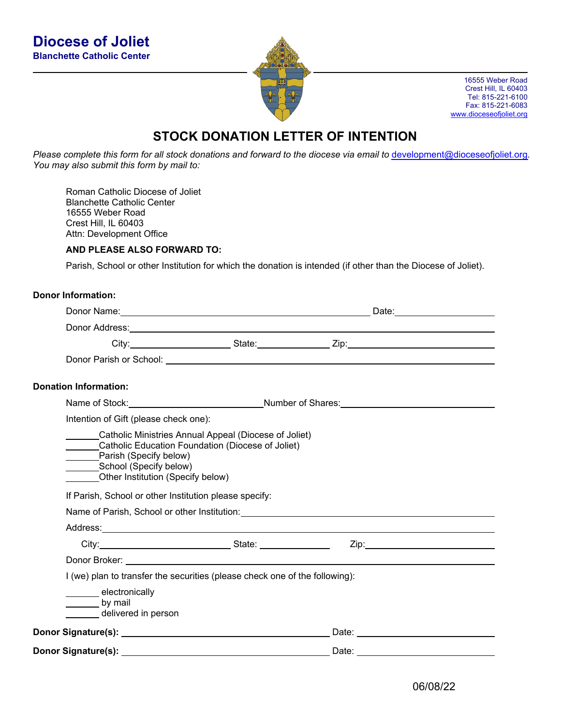

16555 Weber Road Crest Hill, IL 60403 Tel: 815-221-6100 Fax: 815-221-6083 www.dioceseofjoliet.org

# **STOCK DONATION LETTER OF INTENTION**

*Please complete this form for all stock donations and forward to the diocese via email to* development@dioceseofjoliet.org*. You may also submit this form by mail to:* 

Roman Catholic Diocese of Joliet Blanchette Catholic Center 16555 Weber Road Crest Hill, IL 60403 Attn: Development Office

### **AND PLEASE ALSO FORWARD TO:**

Parish, School or other Institution for which the donation is intended (if other than the Diocese of Joliet).

## **Donor Information:**

|                                                                                                                                                                                                                                |                                                       | Donor Address: No. 2014 19:00 19:00 19:00 19:00 19:00 19:00 19:00 19:00 19:00 19:00 19:00 19:00 19:00 19:00 19                                                                                                                      |  |
|--------------------------------------------------------------------------------------------------------------------------------------------------------------------------------------------------------------------------------|-------------------------------------------------------|-------------------------------------------------------------------------------------------------------------------------------------------------------------------------------------------------------------------------------------|--|
|                                                                                                                                                                                                                                |                                                       |                                                                                                                                                                                                                                     |  |
|                                                                                                                                                                                                                                |                                                       |                                                                                                                                                                                                                                     |  |
| <b>Donation Information:</b>                                                                                                                                                                                                   |                                                       |                                                                                                                                                                                                                                     |  |
|                                                                                                                                                                                                                                |                                                       | Name of Stock: Name of Stock: Number of Shares: Number of Shares: Name of Stock:                                                                                                                                                    |  |
| Intention of Gift (please check one):                                                                                                                                                                                          |                                                       |                                                                                                                                                                                                                                     |  |
| Catholic Education Foundation (Diocese of Joliet)<br>Parish (Specify below)<br>School (Specify below)<br>Other Institution (Specify below)<br>If Parish, School or other Institution please specify:                           | Catholic Ministries Annual Appeal (Diocese of Joliet) | Name of Parish, School or other Institution: Name of Name of Parish, School or other                                                                                                                                                |  |
|                                                                                                                                                                                                                                |                                                       |                                                                                                                                                                                                                                     |  |
|                                                                                                                                                                                                                                |                                                       |                                                                                                                                                                                                                                     |  |
| Donor Broker: New York Changes and Changes and Changes and Changes and Changes and Changes and Changes and Changes and Changes and Changes and Changes and Changes and Changes and Changes and Changes and Changes and Changes |                                                       |                                                                                                                                                                                                                                     |  |
| I (we) plan to transfer the securities (please check one of the following):                                                                                                                                                    |                                                       |                                                                                                                                                                                                                                     |  |
| electronically<br>$\rule{1em}{0.15mm}$ by mail<br>delivered in person                                                                                                                                                          |                                                       |                                                                                                                                                                                                                                     |  |
|                                                                                                                                                                                                                                |                                                       | Date: <u>University</u> Contract of the Contract of the Contract of the Contract of the Contract of the Contract of the Contract of the Contract of the Contract of the Contract of the Contract of the Contract of the Contract of |  |
| <b>Donor Signature(s):</b>                                                                                                                                                                                                     |                                                       | Date:                                                                                                                                                                                                                               |  |